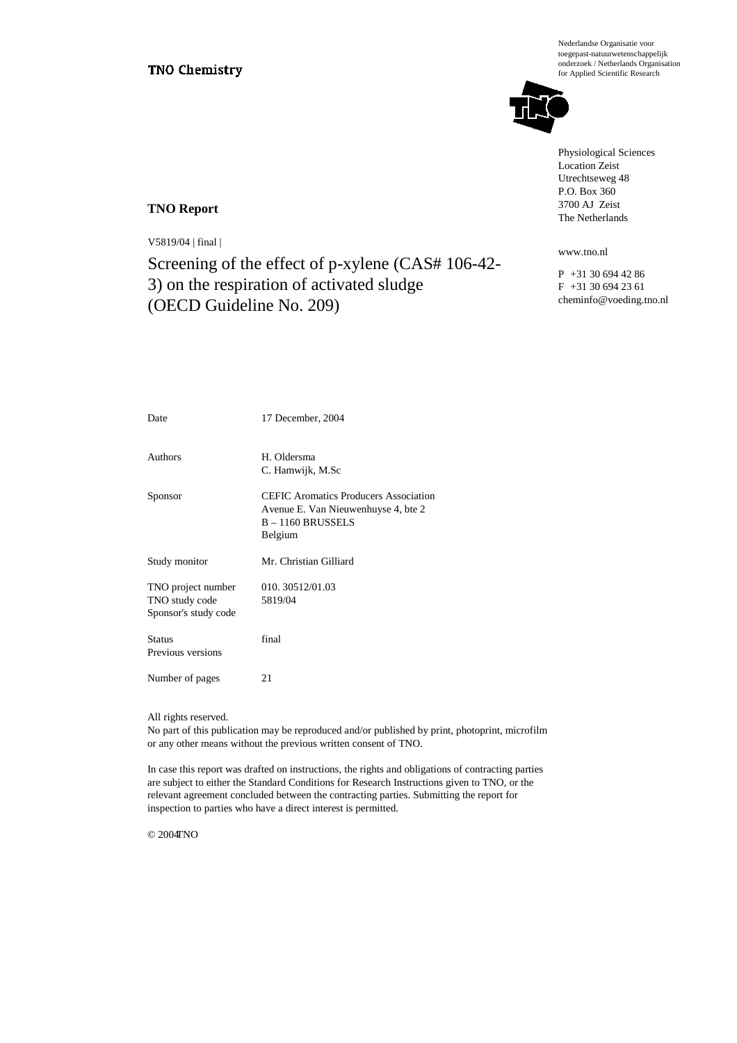Nederlandse Organisatie voor toegepast-natuurwetenschappelijk onderzoek / Netherlands Organisation for Applied Scientific Research



Physiological Sciences Location Zeist Utrechtseweg 48 P.O. Box 360 3700 AJ Zeist The Netherlands

www.tno.nl

P +31 30 694 42 86 F +31 30 694 23 61 cheminfo@voeding.tno.nl

#### **TNO Report**

V5819/04 | final |

Screening of the effect of p-xylene (CAS# 106-42- 3) on the respiration of activated sludge (OECD Guideline No. 209)

| Date                                                         | 17 December, 2004                                                                                                     |
|--------------------------------------------------------------|-----------------------------------------------------------------------------------------------------------------------|
| Authors                                                      | H. Oldersma<br>C. Hamwijk, M.Sc                                                                                       |
| Sponsor                                                      | <b>CEFIC</b> Aromatics Producers Association<br>Avenue E. Van Nieuwenhuyse 4, bte 2<br>$B - 1160$ BRUSSELS<br>Belgium |
| Study monitor                                                | Mr. Christian Gilliard                                                                                                |
| TNO project number<br>TNO study code<br>Sponsor's study code | 010.30512/01.03<br>5819/04                                                                                            |
| <b>Status</b><br>Previous versions                           | final                                                                                                                 |
| Number of pages                                              | 21                                                                                                                    |

All rights reserved.

No part of this publication may be reproduced and/or published by print, photoprint, microfilm or any other means without the previous written consent of TNO.

In case this report was drafted on instructions, the rights and obligations of contracting parties are subject to either the Standard Conditions for Research Instructions given to TNO, or the relevant agreement concluded between the contracting parties. Submitting the report for inspection to parties who have a direct interest is permitted.

 $@$  2004 $TNO$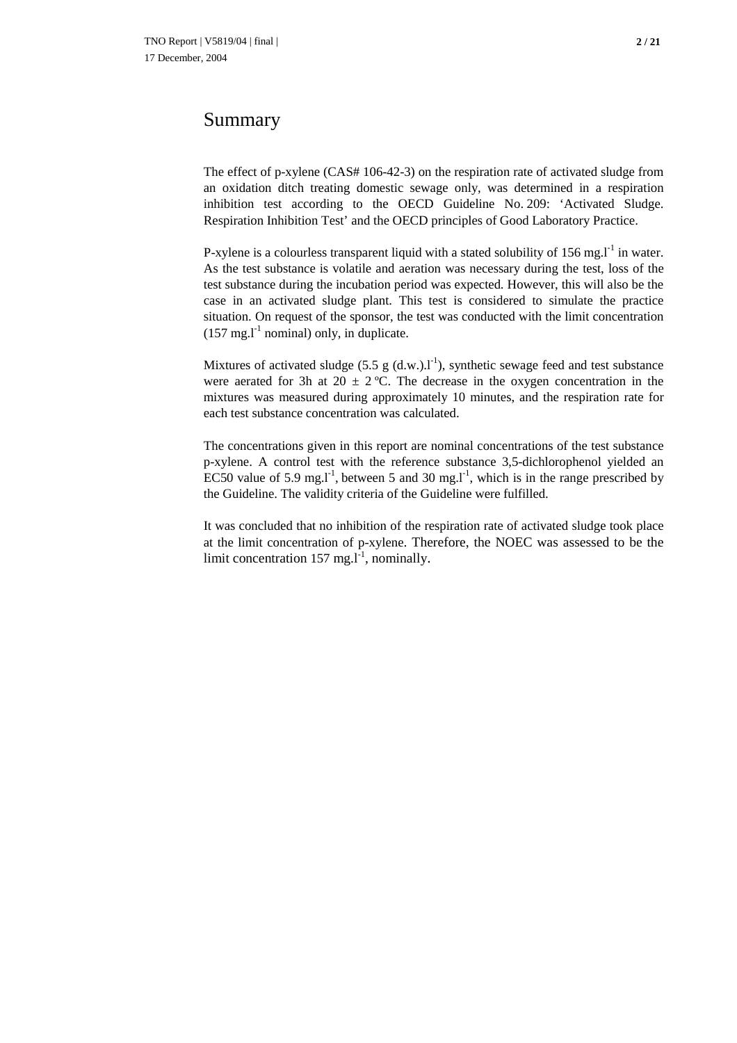# Summary

The effect of p-xylene (CAS# 106-42-3) on the respiration rate of activated sludge from an oxidation ditch treating domestic sewage only, was determined in a respiration inhibition test according to the OECD Guideline No. 209: 'Activated Sludge. Respiration Inhibition Test' and the OECD principles of Good Laboratory Practice.

P-xylene is a colourless transparent liquid with a stated solubility of 156 mg. $l^{-1}$  in water. As the test substance is volatile and aeration was necessary during the test, loss of the test substance during the incubation period was expected. However, this will also be the case in an activated sludge plant. This test is considered to simulate the practice situation. On request of the sponsor, the test was conducted with the limit concentration  $(157 \text{ mg.}^1$  nominal) only, in duplicate.

Mixtures of activated sludge (5.5 g  $(d.w.)$ .]<sup>-1</sup>), synthetic sewage feed and test substance were aerated for 3h at 20  $\pm$  2 °C. The decrease in the oxygen concentration in the mixtures was measured during approximately 10 minutes, and the respiration rate for each test substance concentration was calculated.

The concentrations given in this report are nominal concentrations of the test substance p-xylene. A control test with the reference substance 3,5-dichlorophenol yielded an EC50 value of 5.9 mg.<sup>11</sup>, between 5 and 30 mg.<sup>11</sup>, which is in the range prescribed by the Guideline. The validity criteria of the Guideline were fulfilled.

It was concluded that no inhibition of the respiration rate of activated sludge took place at the limit concentration of p-xylene. Therefore, the NOEC was assessed to be the limit concentration 157 mg. $l^{-1}$ , nominally.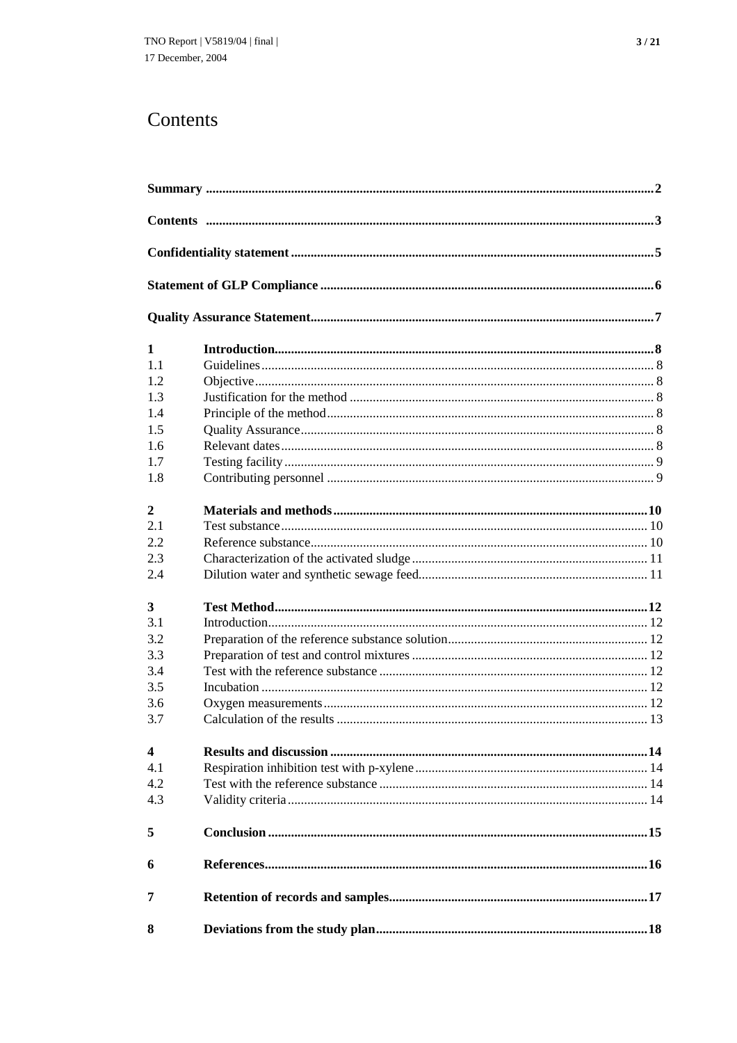# Contents

| $\mathbf{1}$   |  |
|----------------|--|
| 11             |  |
| 1.2            |  |
| 1.3            |  |
| 1.4            |  |
| 1.5            |  |
| 1.6            |  |
| 1.7            |  |
| 1.8            |  |
| $\overline{2}$ |  |
| 2.1            |  |
| 2.2            |  |
| 2.3            |  |
| 2.4            |  |
| $\mathbf{3}$   |  |
| 3.1            |  |
| 3.2            |  |
| 3.3            |  |
| 3.4            |  |
| 3.5            |  |
| 3.6            |  |
| 3.7            |  |
| 4              |  |
| 4.1            |  |
| 4.2            |  |
| 4.3            |  |
| 5              |  |
| 6              |  |
| 7              |  |
| 8              |  |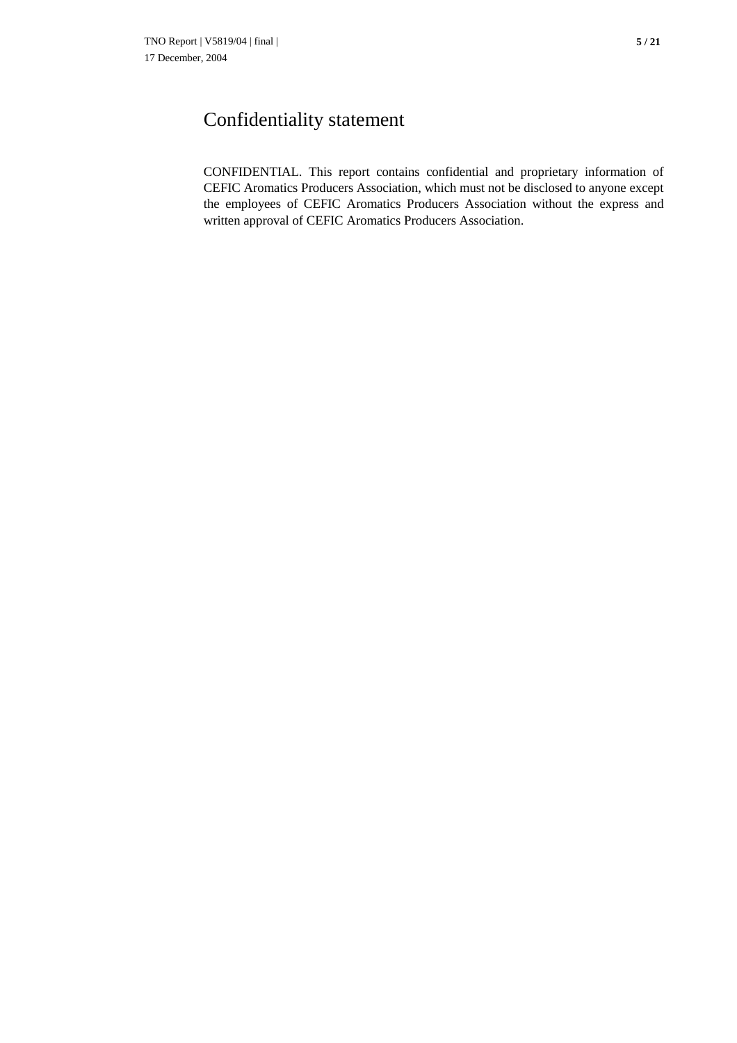CONFIDENTIAL. This report contains confidential and proprietary information of CEFIC Aromatics Producers Association, which must not be disclosed to anyone except the employees of CEFIC Aromatics Producers Association without the express and written approval of CEFIC Aromatics Producers Association.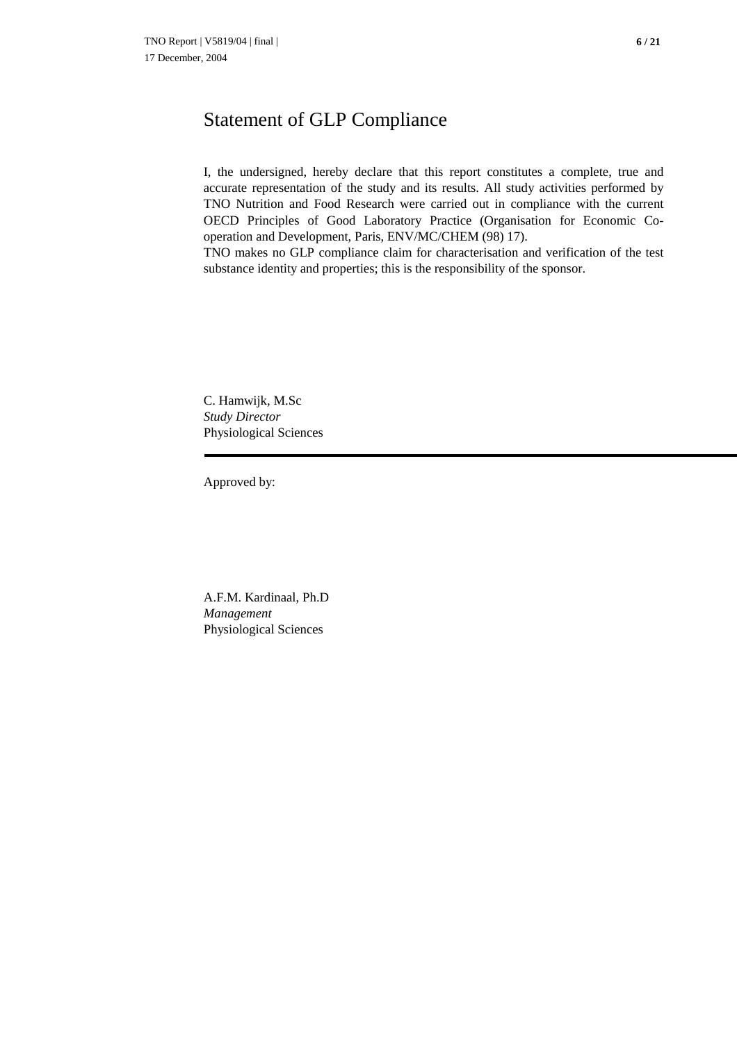# Statement of GLP Compliance

I, the undersigned, hereby declare that this report constitutes a complete, true and accurate representation of the study and its results. All study activities performed by TNO Nutrition and Food Research were carried out in compliance with the current OECD Principles of Good Laboratory Practice (Organisation for Economic Cooperation and Development, Paris, ENV/MC/CHEM (98) 17).

TNO makes no GLP compliance claim for characterisation and verification of the test substance identity and properties; this is the responsibility of the sponsor.

C. Hamwijk, M.Sc *Study Director* Physiological Sciences

Approved by:

A.F.M. Kardinaal, Ph.D *Management* Physiological Sciences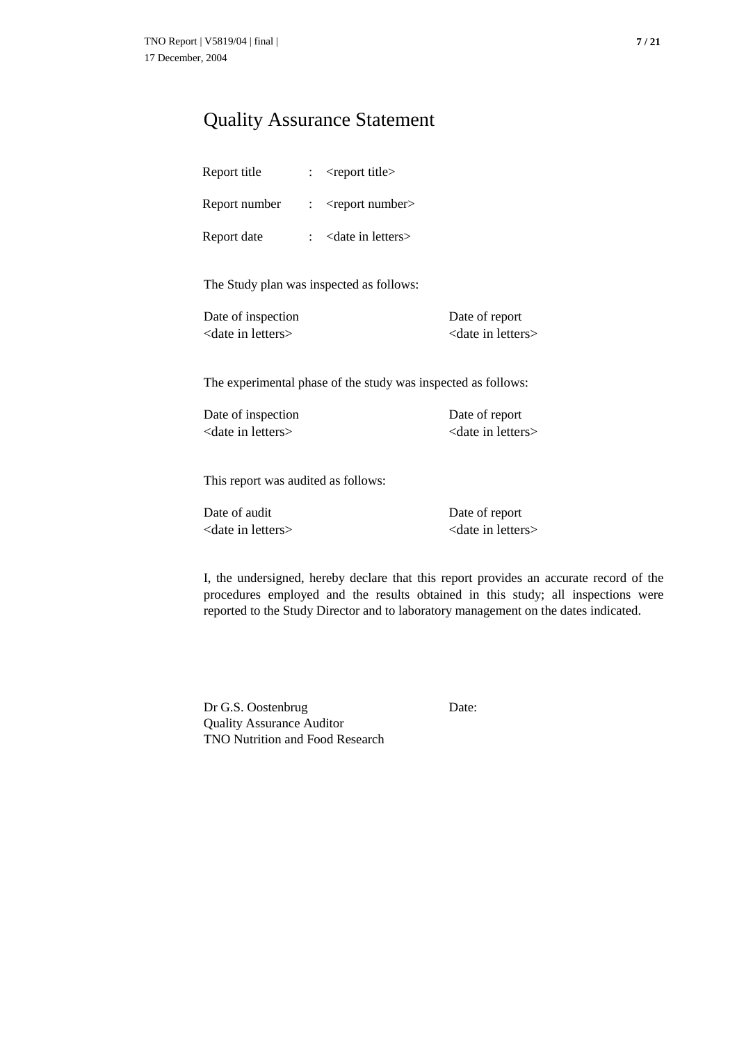# Quality Assurance Statement

| Report title  | <report title=""></report>     |
|---------------|--------------------------------|
| Report number | $<$ report number $>$          |
| Report date   | <date in="" letters=""></date> |

The Study plan was inspected as follows:

| Date of inspection             | Date of report                 |
|--------------------------------|--------------------------------|
| <date in="" letters=""></date> | <date in="" letters=""></date> |

The experimental phase of the study was inspected as follows:

Date of inspection Date of report <date in letters>
<date in letters>
<date in letters

This report was audited as follows:

Date of audit Date of report <date in letters> <date in letters>

I, the undersigned, hereby declare that this report provides an accurate record of the procedures employed and the results obtained in this study; all inspections were reported to the Study Director and to laboratory management on the dates indicated.

Dr G.S. Oostenbrug Date: Quality Assurance Auditor TNO Nutrition and Food Research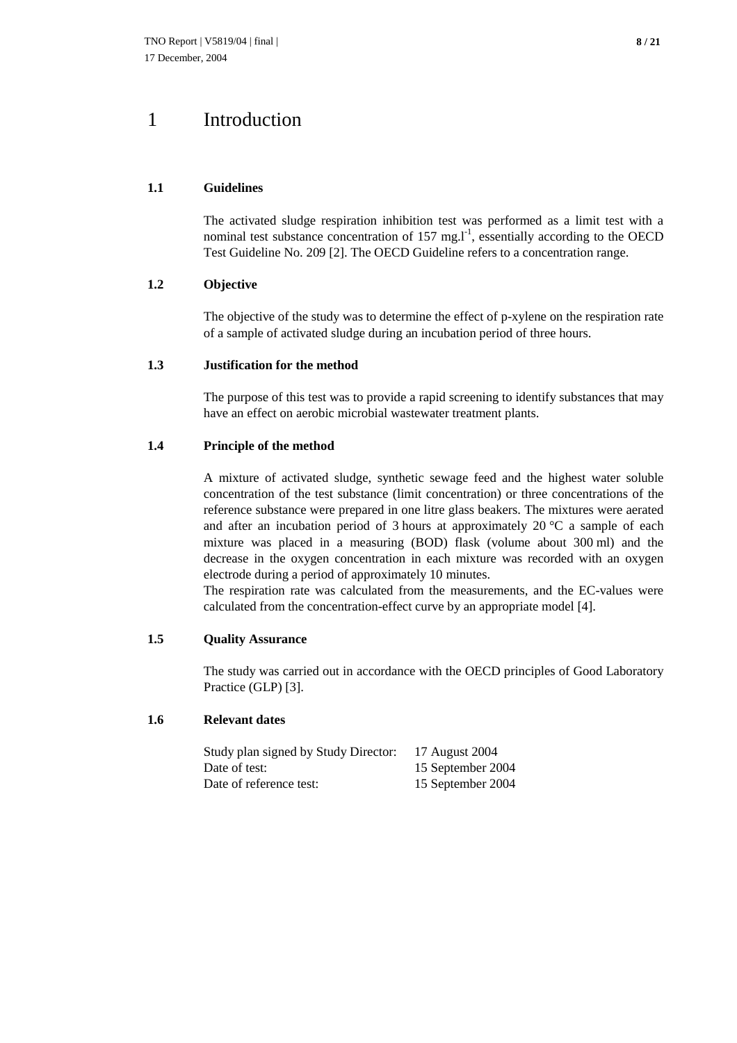# 1 Introduction

### **1.1 Guidelines**

The activated sludge respiration inhibition test was performed as a limit test with a nominal test substance concentration of  $157 \text{ mg.} \text{m}^1$ , essentially according to the OECD Test Guideline No. 209 [2]. The OECD Guideline refers to a concentration range.

### **1.2 Objective**

The objective of the study was to determine the effect of p-xylene on the respiration rate of a sample of activated sludge during an incubation period of three hours.

### **1.3 Justification for the method**

The purpose of this test was to provide a rapid screening to identify substances that may have an effect on aerobic microbial wastewater treatment plants.

### **1.4 Principle of the method**

A mixture of activated sludge, synthetic sewage feed and the highest water soluble concentration of the test substance (limit concentration) or three concentrations of the reference substance were prepared in one litre glass beakers. The mixtures were aerated and after an incubation period of 3 hours at approximately 20 °C a sample of each mixture was placed in a measuring (BOD) flask (volume about 300 ml) and the decrease in the oxygen concentration in each mixture was recorded with an oxygen electrode during a period of approximately 10 minutes.

The respiration rate was calculated from the measurements, and the EC-values were calculated from the concentration-effect curve by an appropriate model [4].

### **1.5 Quality Assurance**

The study was carried out in accordance with the OECD principles of Good Laboratory Practice (GLP) [3].

### **1.6 Relevant dates**

| Study plan signed by Study Director: | 17 August 2004    |
|--------------------------------------|-------------------|
| Date of test:                        | 15 September 2004 |
| Date of reference test:              | 15 September 2004 |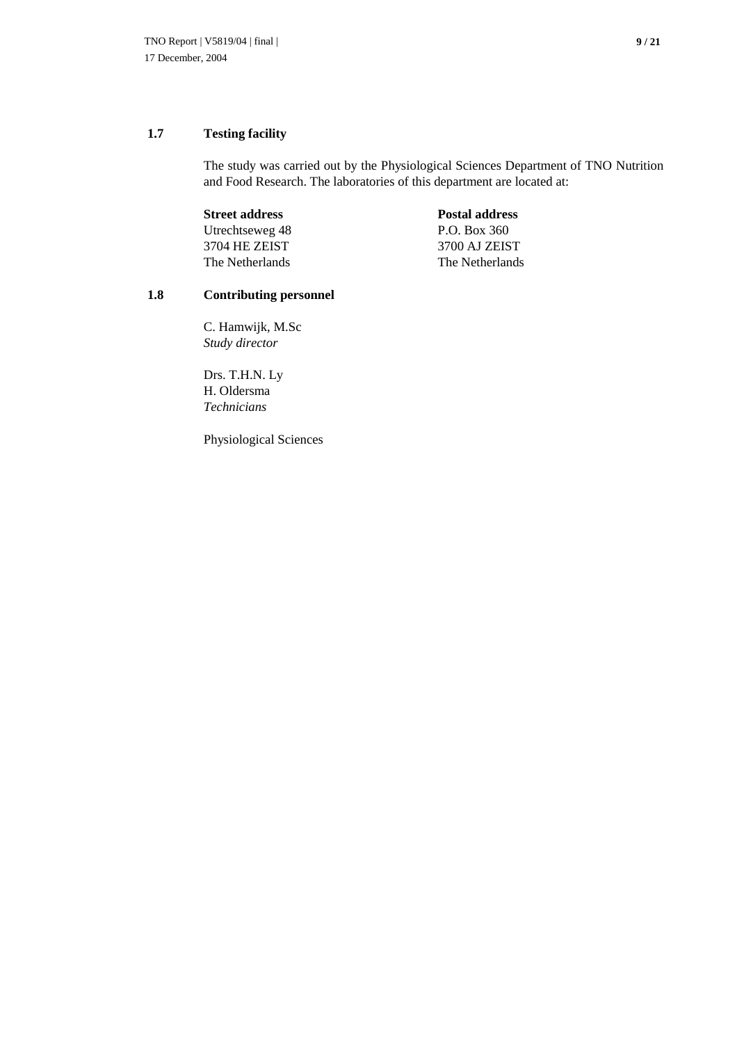## **1.7 Testing facility**

The study was carried out by the Physiological Sciences Department of TNO Nutrition and Food Research. The laboratories of this department are located at:

| <b>Postal address</b> |
|-----------------------|
| P.O. Box 360          |
| 3700 AJ ZEIST         |
| The Netherlands       |
|                       |

## **1.8 Contributing personnel**

C. Hamwijk, M.Sc *Study director*

Drs. T.H.N. Ly H. Oldersma *Technicians*

Physiological Sciences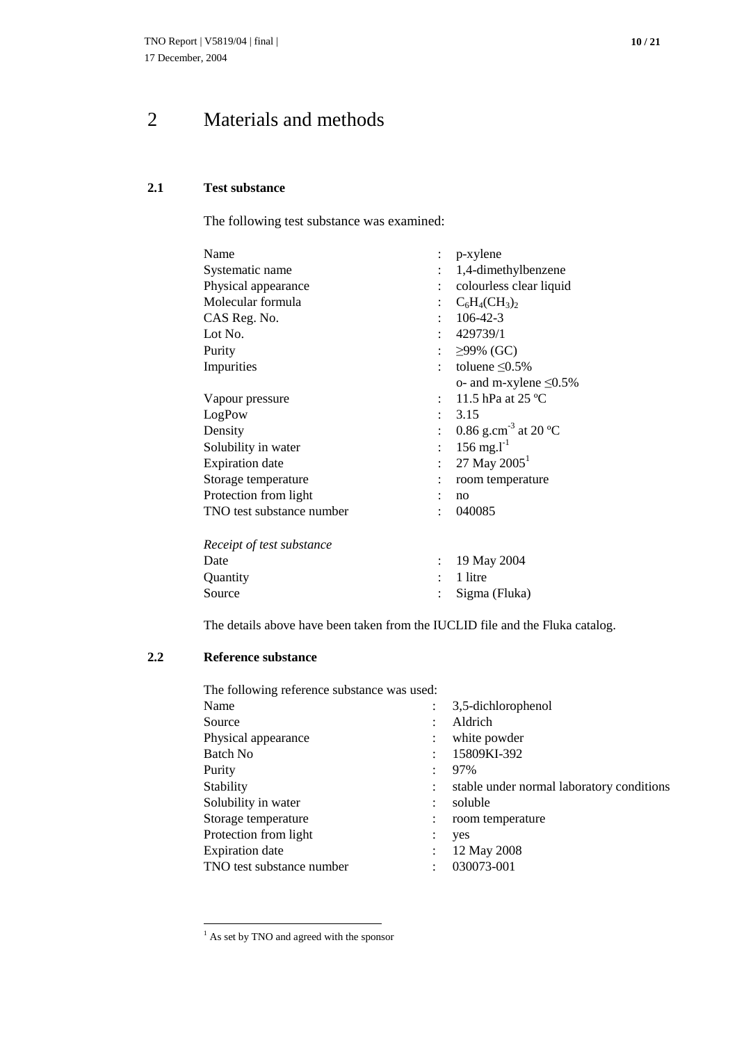# 2 Materials and methods

## **2.1 Test substance**

The following test substance was examined:

| Name                      |                | $: p\text{-xylene}$              |
|---------------------------|----------------|----------------------------------|
| Systematic name           |                | 1,4-dimethylbenzene              |
| Physical appearance       |                | colourless clear liquid          |
| Molecular formula         |                | $C_6H_4CH_3)_2$                  |
| CAS Reg. No.              |                | $106 - 42 - 3$                   |
| Lot No.                   |                | 429739/1                         |
| Purity                    | $\ddot{\cdot}$ | $≥99%$ (GC)                      |
| Impurities                |                | toluene $\leq 0.5\%$             |
|                           |                | o- and m-xylene $\leq 0.5\%$     |
| Vapour pressure           |                | 11.5 hPa at $25^{\circ}$ C       |
| LogPow                    |                | 3.15                             |
| Density                   |                | 0.86 g.cm <sup>-3</sup> at 20 °C |
| Solubility in water       | $\epsilon$     | $156 \text{ mg.} \text{m}^{-1}$  |
| <b>Expiration</b> date    |                | 27 May $2005^1$                  |
| Storage temperature       |                | room temperature                 |
| Protection from light     |                | no                               |
| TNO test substance number |                | 040085                           |
| Receipt of test substance |                |                                  |
| Date                      | ÷              | 19 May 2004                      |
| Quantity                  |                | 1 litre                          |
| Source                    |                | Sigma (Fluka)                    |

The details above have been taken from the IUCLID file and the Fluka catalog.

## **2.2 Reference substance**

The following reference substance was used:

| Name                      | 3,5-dichlorophenol                        |
|---------------------------|-------------------------------------------|
| Source                    | Aldrich                                   |
| Physical appearance       | white powder                              |
| Batch No                  | 15809KI-392                               |
| Purity                    | 97%                                       |
| Stability                 | stable under normal laboratory conditions |
| Solubility in water       | soluble                                   |
| Storage temperature       | room temperature                          |
| Protection from light     | yes                                       |
| <b>Expiration</b> date    | 12 May 2008                               |
| TNO test substance number | 030073-001                                |
|                           |                                           |

<sup>&</sup>lt;sup>1</sup> As set by TNO and agreed with the sponsor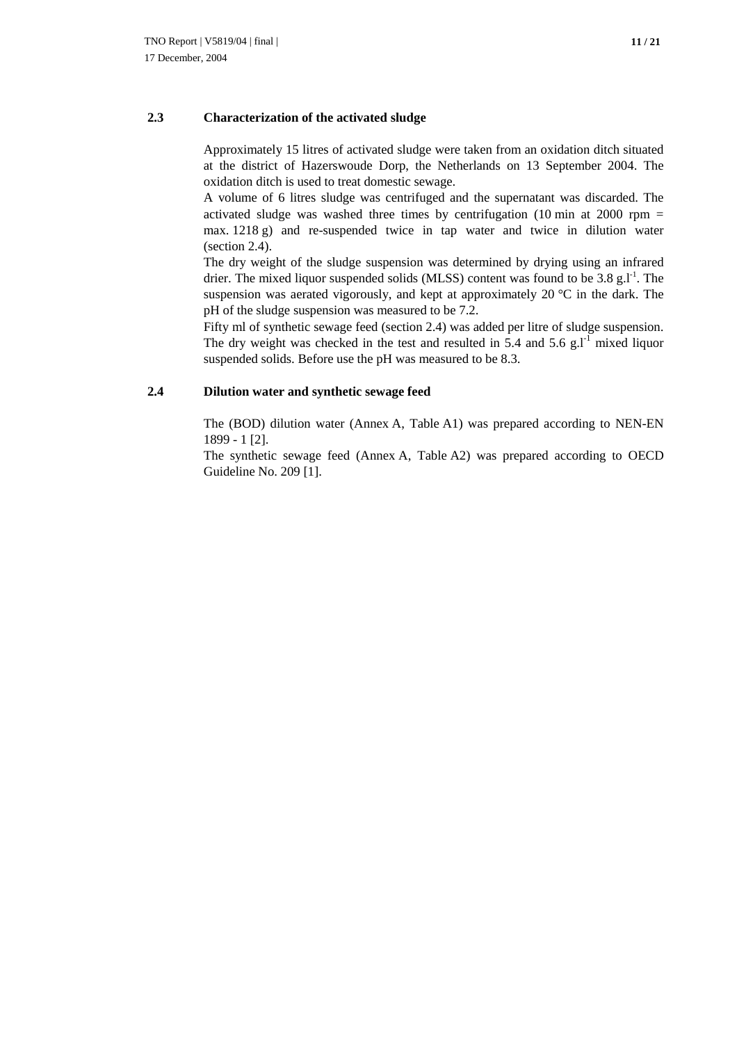### **2.3 Characterization of the activated sludge**

Approximately 15 litres of activated sludge were taken from an oxidation ditch situated at the district of Hazerswoude Dorp, the Netherlands on 13 September 2004. The oxidation ditch is used to treat domestic sewage.

A volume of 6 litres sludge was centrifuged and the supernatant was discarded. The activated sludge was washed three times by centrifugation (10 min at 2000 rpm  $=$ max. 1218 g) and re-suspended twice in tap water and twice in dilution water (section 2.4).

The dry weight of the sludge suspension was determined by drying using an infrared drier. The mixed liquor suspended solids (MLSS) content was found to be  $3.8 \text{ g}$ . The suspension was aerated vigorously, and kept at approximately 20  $^{\circ}$ C in the dark. The pH of the sludge suspension was measured to be 7.2.

Fifty ml of synthetic sewage feed (section 2.4) was added per litre of sludge suspension. The dry weight was checked in the test and resulted in 5.4 and 5.6 g. $I<sup>-1</sup>$  mixed liquor suspended solids. Before use the pH was measured to be 8.3.

### **2.4 Dilution water and synthetic sewage feed**

The (BOD) dilution water (Annex A, Table A1) was prepared according to NEN-EN 1899 - 1 [2].

The synthetic sewage feed (Annex A, Table A2) was prepared according to OECD Guideline No. 209 [1].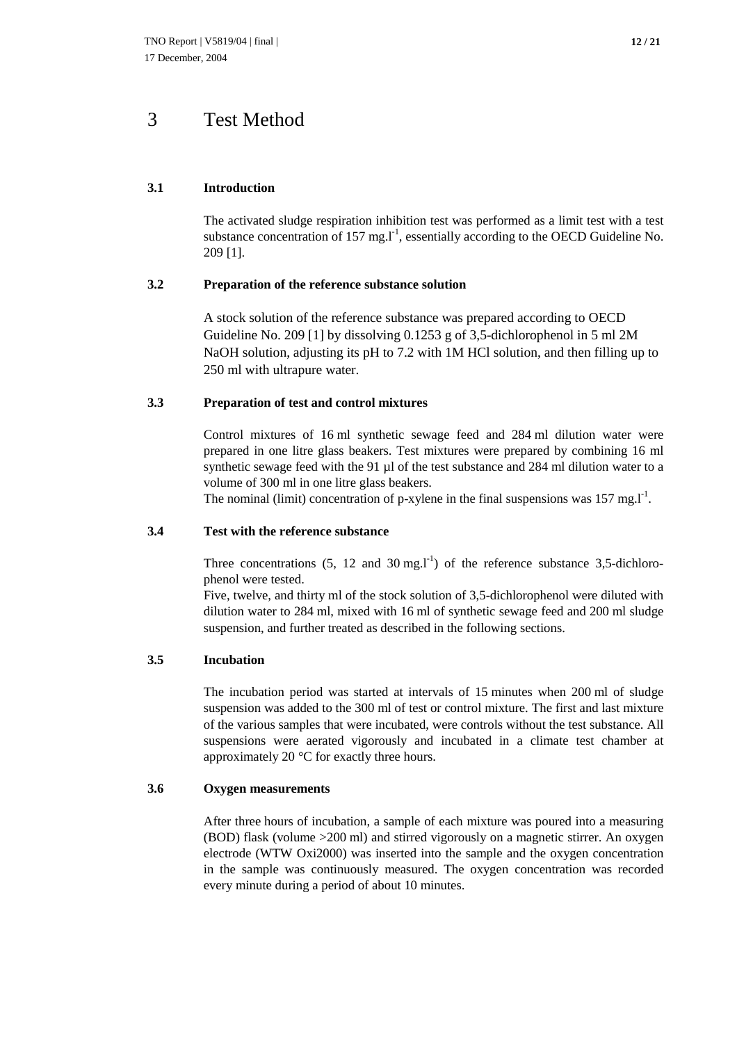### **3.1 Introduction**

The activated sludge respiration inhibition test was performed as a limit test with a test substance concentration of 157 mg. $l^{-1}$ , essentially according to the OECD Guideline No. 209 [1].

### **3.2 Preparation of the reference substance solution**

A stock solution of the reference substance was prepared according to OECD Guideline No. 209 [1] by dissolving 0.1253 g of 3,5-dichlorophenol in 5 ml 2M NaOH solution, adjusting its pH to 7.2 with 1M HCl solution, and then filling up to 250 ml with ultrapure water.

### **3.3 Preparation of test and control mixtures**

Control mixtures of 16 ml synthetic sewage feed and 284 ml dilution water were prepared in one litre glass beakers. Test mixtures were prepared by combining 16 ml synthetic sewage feed with the 91 µl of the test substance and 284 ml dilution water to a volume of 300 ml in one litre glass beakers.

The nominal (limit) concentration of p-xylene in the final suspensions was  $157 \text{ mg.} \text{J}^{-1}$ .

### **3.4 Test with the reference substance**

Three concentrations  $(5, 12 \text{ and } 30 \text{ mg.} \text{m}^{\text{-1}})$  of the reference substance 3,5-dichlorophenol were tested.

Five, twelve, and thirty ml of the stock solution of 3,5-dichlorophenol were diluted with dilution water to 284 ml, mixed with 16 ml of synthetic sewage feed and 200 ml sludge suspension, and further treated as described in the following sections.

### **3.5 Incubation**

The incubation period was started at intervals of 15 minutes when 200 ml of sludge suspension was added to the 300 ml of test or control mixture. The first and last mixture of the various samples that were incubated, were controls without the test substance. All suspensions were aerated vigorously and incubated in a climate test chamber at approximately 20 °C for exactly three hours.

### **3.6 Oxygen measurements**

After three hours of incubation, a sample of each mixture was poured into a measuring (BOD) flask (volume >200 ml) and stirred vigorously on a magnetic stirrer. An oxygen electrode (WTW Oxi2000) was inserted into the sample and the oxygen concentration in the sample was continuously measured. The oxygen concentration was recorded every minute during a period of about 10 minutes.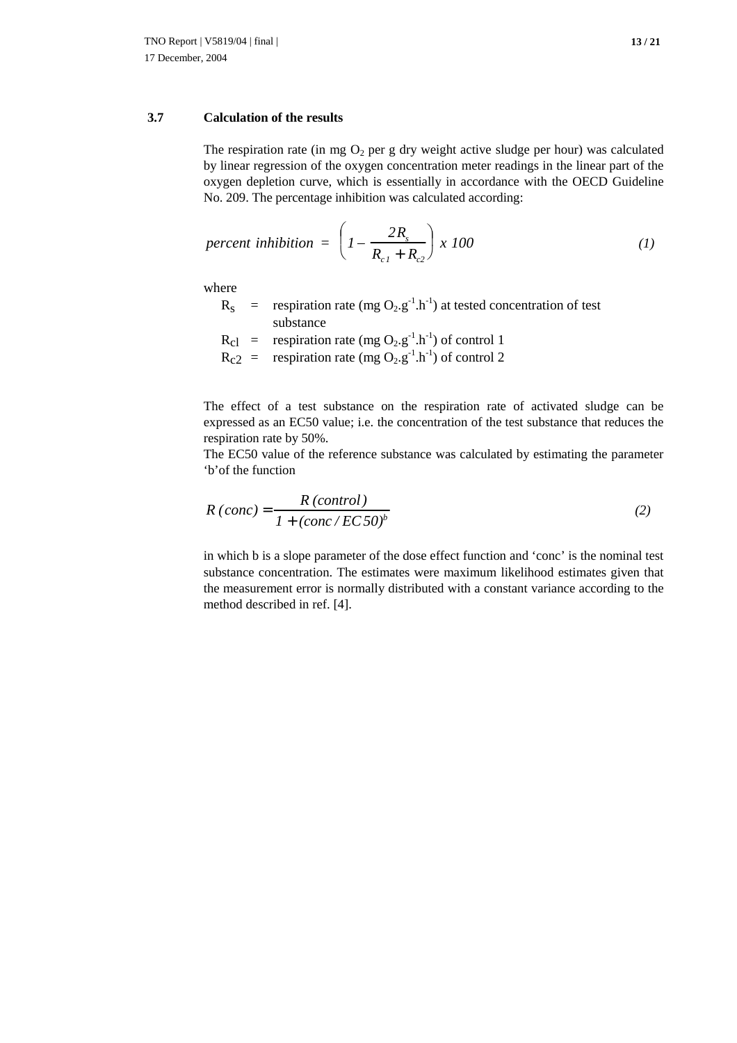## **3.7 Calculation of the results**

The respiration rate (in mg  $O_2$  per g dry weight active sludge per hour) was calculated by linear regression of the oxygen concentration meter readings in the linear part of the oxygen depletion curve, which is essentially in accordance with the OECD Guideline No. 209. The percentage inhibition was calculated according:

$$
percent inhibition = \left(1 - \frac{2R_s}{R_{c1} + R_{c2}}\right) \times 100\tag{1}
$$

where

- $R_s$  = respiration rate (mg O<sub>2</sub>.g<sup>-1</sup>.h<sup>-1</sup>) at tested concentration of test substance
- $R_{cl}$  = respiration rate (mg O<sub>2</sub>.g<sup>-1</sup>.h<sup>-1</sup>) of control 1  $R_{c2}$  = respiration rate (mg O<sub>2</sub>.g<sup>-1</sup>.h<sup>-1</sup>) of control 2

The effect of a test substance on the respiration rate of activated sludge can be expressed as an EC50 value; i.e. the concentration of the test substance that reduces the respiration rate by 50%.

The EC50 value of the reference substance was calculated by estimating the parameter 'b'of the function

$$
R\left( conc\right) = \frac{R\left( control\right)}{1 + \left( conc \, / \, EC \, 50\right)^{b}}
$$
\n<sup>(2)</sup>

in which b is a slope parameter of the dose effect function and 'conc' is the nominal test substance concentration. The estimates were maximum likelihood estimates given that the measurement error is normally distributed with a constant variance according to the method described in ref. [4].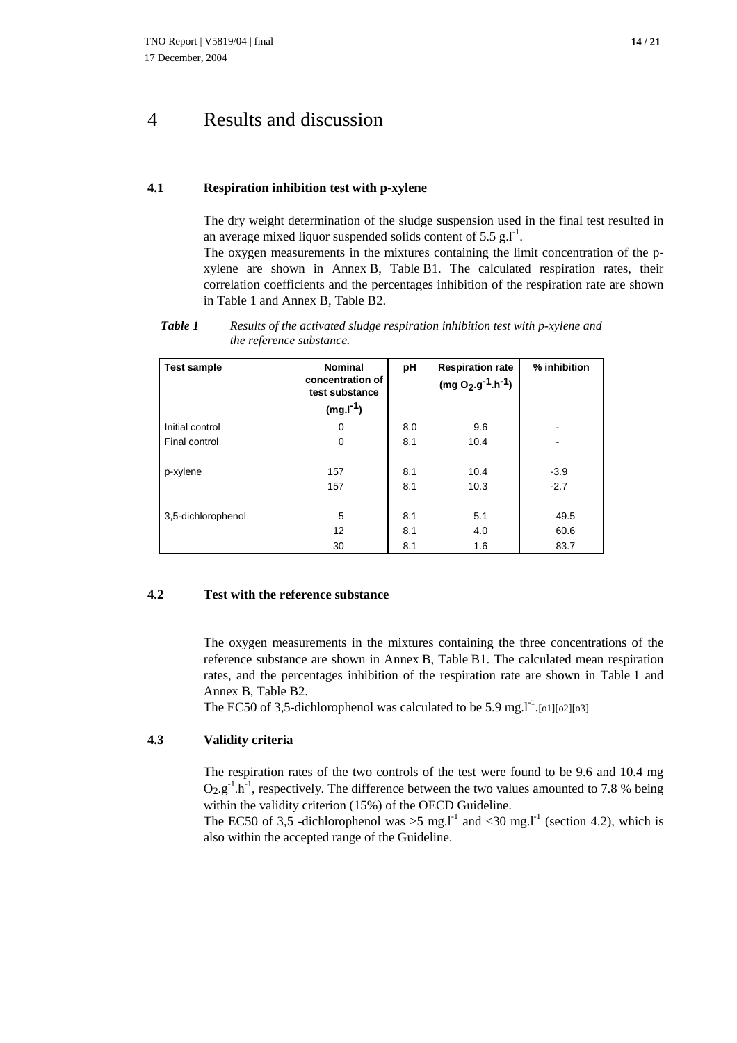# 4 Results and discussion

#### **4.1 Respiration inhibition test with p-xylene**

The dry weight determination of the sludge suspension used in the final test resulted in an average mixed liquor suspended solids content of  $5.5 \text{ g.l}^{-1}$ .

The oxygen measurements in the mixtures containing the limit concentration of the pxylene are shown in Annex B, Table B1. The calculated respiration rates, their correlation coefficients and the percentages inhibition of the respiration rate are shown in Table 1 and Annex B, Table B2.

*Table 1 Results of the activated sludge respiration inhibition test with p-xylene and the reference substance.*

| <b>Test sample</b> | <b>Nominal</b><br>concentration of<br>test substance<br>$(mg.I^{-1})$ | рH         | <b>Respiration rate</b><br>$(mg O2.g-1.h-1)$ | % inhibition     |
|--------------------|-----------------------------------------------------------------------|------------|----------------------------------------------|------------------|
| Initial control    | 0                                                                     | 8.0        | 9.6                                          |                  |
| Final control      | $\mathbf 0$                                                           | 8.1        | 10.4                                         |                  |
| p-xylene           | 157<br>157                                                            | 8.1<br>8.1 | 10.4<br>10.3                                 | $-3.9$<br>$-2.7$ |
| 3,5-dichlorophenol | 5<br>12                                                               | 8.1<br>8.1 | 5.1<br>4.0                                   | 49.5<br>60.6     |
|                    | 30                                                                    | 8.1        | 1.6                                          | 83.7             |

#### **4.2 Test with the reference substance**

The oxygen measurements in the mixtures containing the three concentrations of the reference substance are shown in Annex B, Table B1. The calculated mean respiration rates, and the percentages inhibition of the respiration rate are shown in Table 1 and Annex B, Table B2.

The EC50 of 3,5-dichlorophenol was calculated to be 5.9 mg.  $I<sup>-1</sup>$ . [o1][o2][o3]

#### **4.3 Validity criteria**

The respiration rates of the two controls of the test were found to be 9.6 and 10.4 mg  $O_2.g^{-1} \cdot h^{-1}$ , respectively. The difference between the two values amounted to 7.8 % being within the validity criterion (15%) of the OECD Guideline.

The EC50 of 3,5 -dichlorophenol was  $>5$  mg.l<sup>-1</sup> and <30 mg.l<sup>-1</sup> (section 4.2), which is also within the accepted range of the Guideline.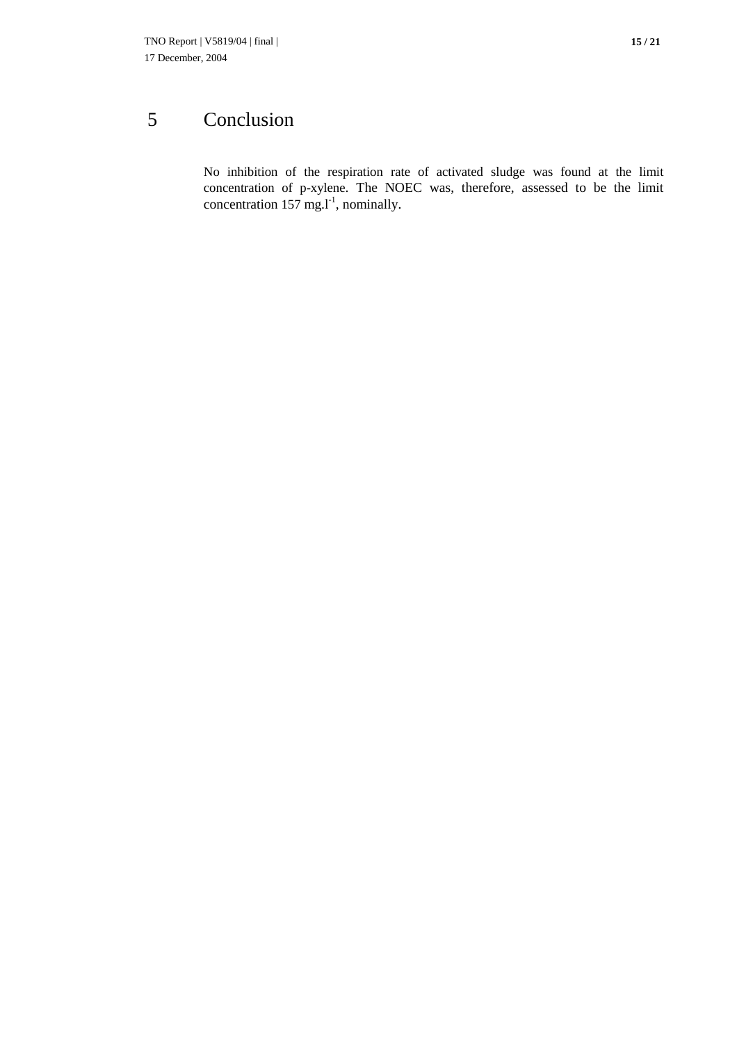# 5 Conclusion

No inhibition of the respiration rate of activated sludge was found at the limit concentration of p-xylene. The NOEC was, therefore, assessed to be the limit concentration 157 mg. $l^{-1}$ , nominally.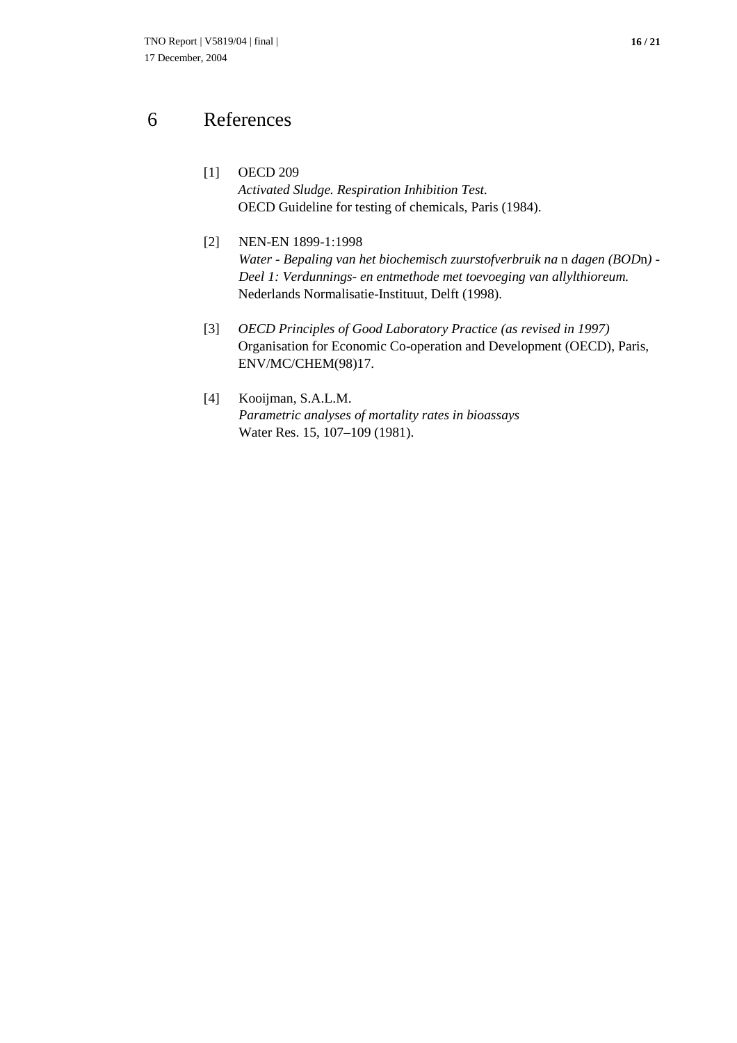# 6 References

- [1] OECD 209 *Activated Sludge. Respiration Inhibition Test.* OECD Guideline for testing of chemicals, Paris (1984).
- [2] NEN-EN 1899-1:1998 *Water - Bepaling van het biochemisch zuurstofverbruik na* n *dagen (BOD*n*) - Deel 1: Verdunnings- en entmethode met toevoeging van allylthioreum.* Nederlands Normalisatie-Instituut, Delft (1998).
- [3] *OECD Principles of Good Laboratory Practice (as revised in 1997)* Organisation for Economic Co-operation and Development (OECD), Paris, ENV/MC/CHEM(98)17.
- [4] Kooijman, S.A.L.M. *Parametric analyses of mortality rates in bioassays* Water Res. 15, 107–109 (1981).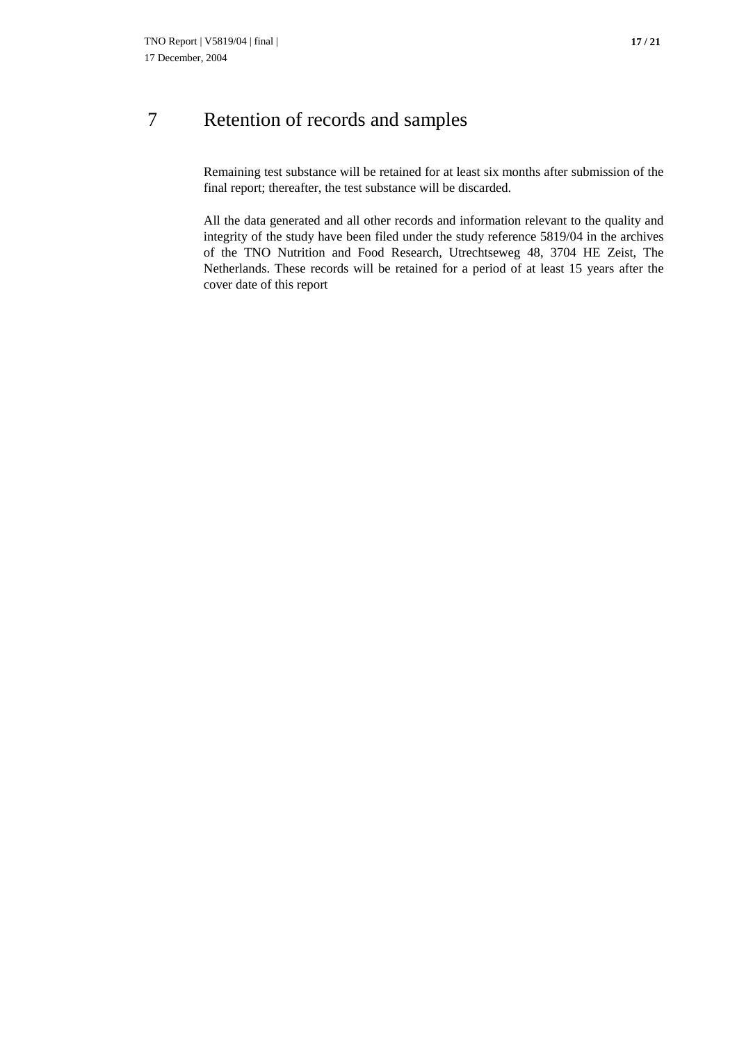# 7 Retention of records and samples

Remaining test substance will be retained for at least six months after submission of the final report; thereafter, the test substance will be discarded.

All the data generated and all other records and information relevant to the quality and integrity of the study have been filed under the study reference 5819/04 in the archives of the TNO Nutrition and Food Research, Utrechtseweg 48, 3704 HE Zeist, The Netherlands. These records will be retained for a period of at least 15 years after the cover date of this report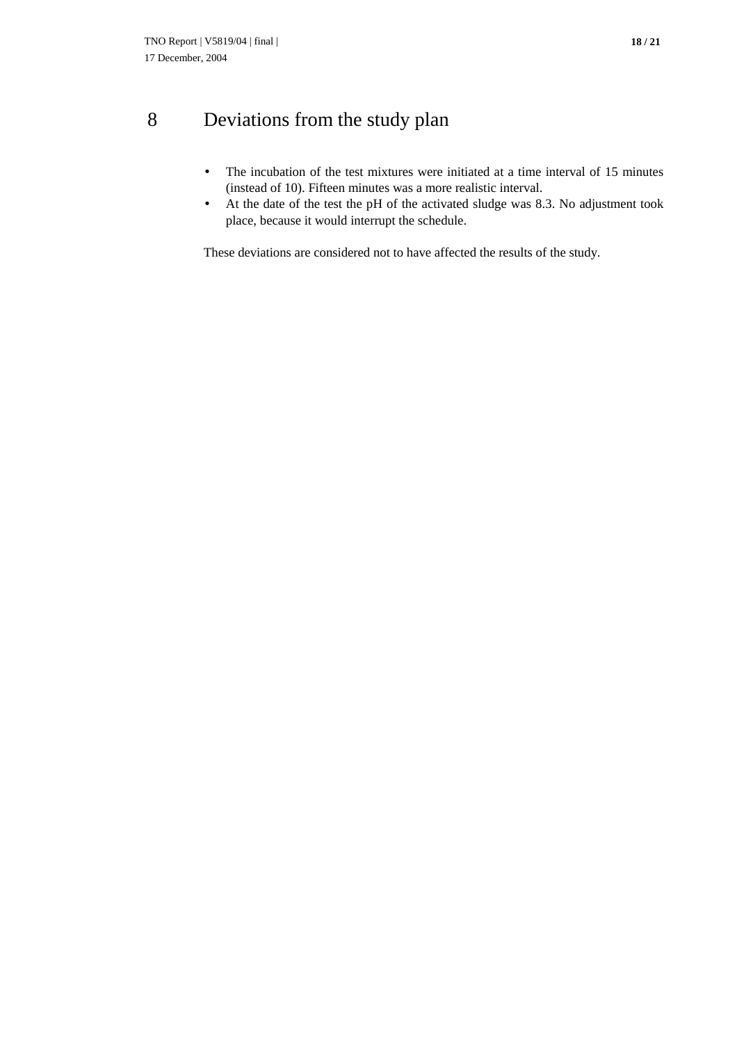# 8 Deviations from the study plan

- The incubation of the test mixtures were initiated at a time interval of 15 minutes (instead of 10). Fifteen minutes was a more realistic interval.
- At the date of the test the pH of the activated sludge was 8.3. No adjustment took place, because it would interrupt the schedule.

These deviations are considered not to have affected the results of the study.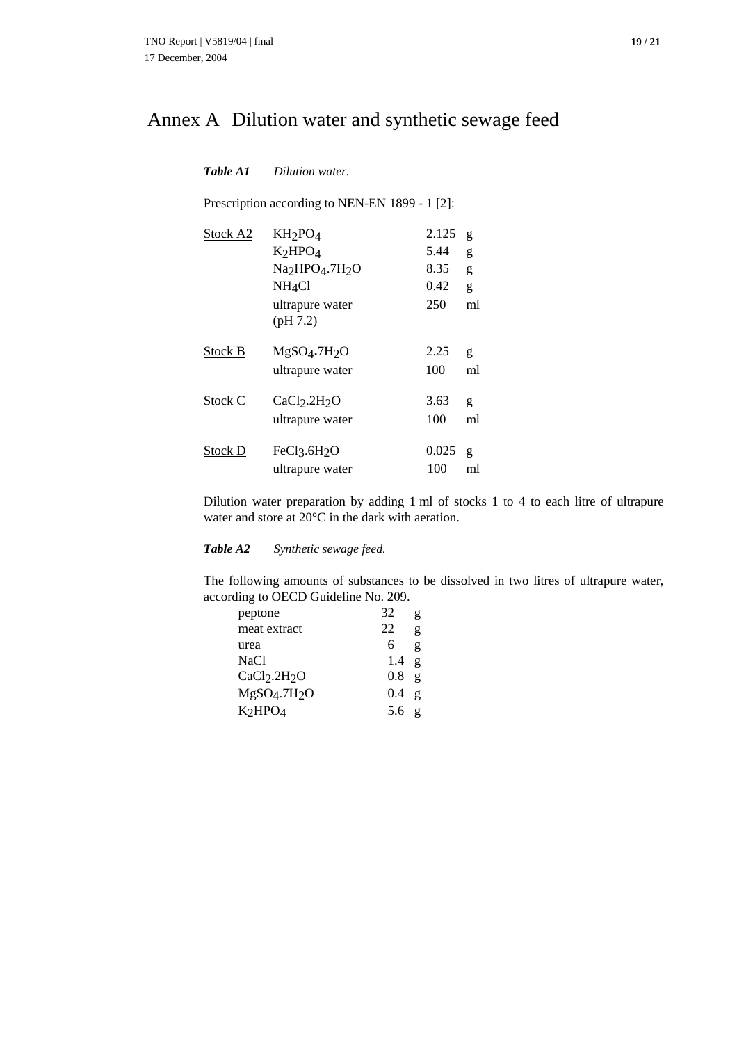# Annex A Dilution water and synthetic sewage feed

| Table A1           | Dilution water.                                                                                                                                           |                                      |                        |
|--------------------|-----------------------------------------------------------------------------------------------------------------------------------------------------------|--------------------------------------|------------------------|
|                    | Prescription according to NEN-EN 1899 - 1 [2]:                                                                                                            |                                      |                        |
| Stock A2           | $KH_2PO_4$<br>K <sub>2</sub> HPO <sub>4</sub><br>Na <sub>2</sub> HPO <sub>4</sub> .7H <sub>2</sub> O<br>NH <sub>4</sub> Cl<br>ultrapure water<br>(pH 7.2) | 2.125<br>5.44<br>8.35<br>0.42<br>250 | g<br>g<br>g<br>g<br>ml |
| Stock <sub>B</sub> | $MgSO4$ .7H <sub>2</sub> O                                                                                                                                | 2.25                                 | g                      |
|                    | ultrapure water                                                                                                                                           | 100                                  | ml                     |
| Stock C            | CaCl <sub>2</sub> .2H <sub>2</sub> O                                                                                                                      | 3.63                                 | g                      |
|                    | ultrapure water                                                                                                                                           | 100                                  | ml                     |
| Stock D            | FeCl <sub>3</sub> .6H <sub>2</sub> O                                                                                                                      | 0.025                                | g                      |
|                    | ultrapure water                                                                                                                                           | 100                                  | ml                     |

Dilution water preparation by adding 1 ml of stocks 1 to 4 to each litre of ultrapure water and store at 20°C in the dark with aeration.

*Table A2 Synthetic sewage feed.*

The following amounts of substances to be dissolved in two litres of ultrapure water, according to OECD Guideline No. 209.

| peptone                              | 32      | g              |
|--------------------------------------|---------|----------------|
| meat extract                         | 22      | g              |
| urea                                 | 6       | g              |
| NaCl                                 | 1.4     | $\mathbf{g}$   |
| CaCl <sub>2</sub> .2H <sub>2</sub> O | $0.8\,$ | $\mathbf{g}$   |
| MgSO <sub>4</sub> .7H <sub>2</sub> O | 0.4     | $\mathfrak{g}$ |
| K <sub>2</sub> HPO <sub>4</sub>      | $5.6$ g |                |
|                                      |         |                |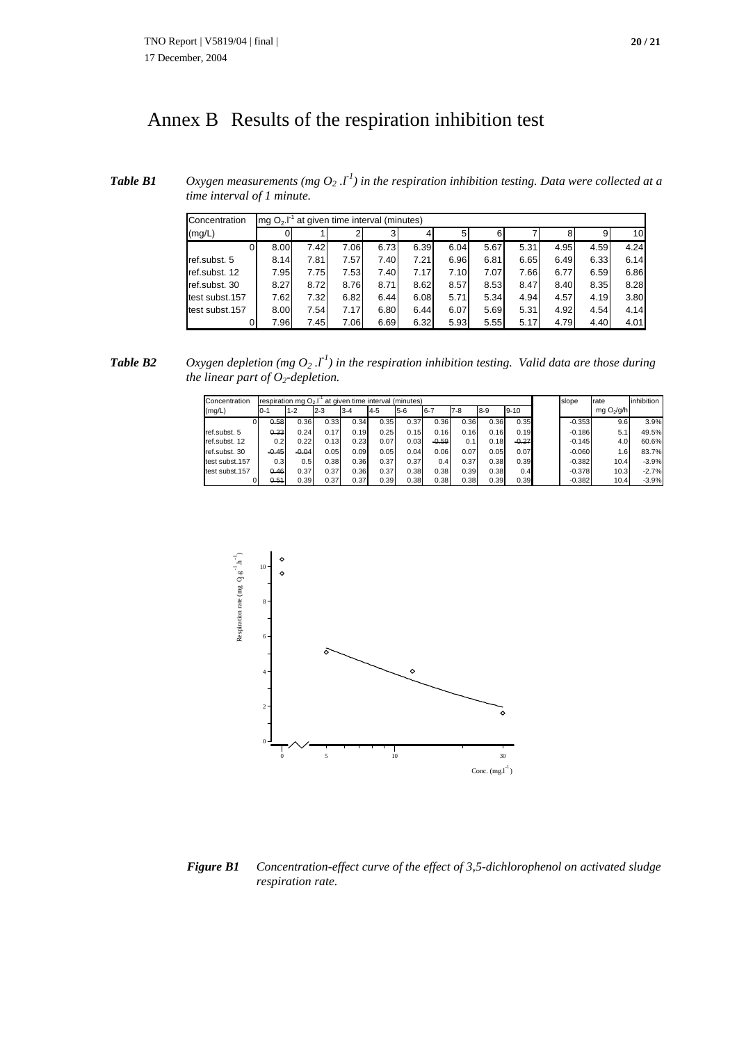# Annex B Results of the respiration inhibition test

*Table B1 Oxygen measurements (mg O<sub>2</sub>*  $I<sup>I</sup>$ *) in the respiration inhibition testing. Data were collected at a time interval of 1 minute.*

| Concentration  | at given time interval (minutes)<br>$mqO2$ . |      |      |      |      |      |      |      |      |      |      |
|----------------|----------------------------------------------|------|------|------|------|------|------|------|------|------|------|
| (mg/L)         |                                              |      |      |      |      |      | 6    |      | 8    | 9    | 10   |
| $\Omega$       | 8.00                                         | 7.42 | 7.06 | 6.73 | 6.39 | 6.04 | 5.67 | 5.31 | 4.95 | 4.59 | 4.24 |
| ref.subst. 5   | 8.14                                         | 7.81 | 7.57 | 7.40 | 7.21 | 6.96 | 6.81 | 6.65 | 6.49 | 6.33 | 6.14 |
| ref.subst. 12  | 7.95                                         | 7.75 | 7.53 | 7.40 | 7.17 | 7.10 | 7.07 | 7.66 | 6.77 | 6.59 | 6.86 |
| ref.subst. 30  | 8.27                                         | 8.72 | 8.76 | 8.71 | 8.62 | 8.57 | 8.53 | 8.47 | 8.40 | 8.35 | 8.28 |
| test subst.157 | 7.62                                         | 7.32 | 6.82 | 6.44 | 6.08 | 5.71 | 5.34 | 4.94 | 4.57 | 4.19 | 3.80 |
| test subst.157 | 8.00                                         | 7.54 | 7.17 | 6.80 | 6.44 | 6.07 | 5.69 | 5.31 | 4.92 | 4.54 | 4.14 |
|                | 7.96                                         | 7.45 | 7.06 | 6.69 | 6.32 | 5.93 | 5.55 | 5.17 | 4.79 | 4.40 | 4.01 |

**Table B2** Oxygen depletion (mg  $O_2$  *.l*<sup> $1$ </sup>) in the respiration inhibition testing. Valid data are those during *the linear part of*  $O_2$ *-depletion.* 

| Concentration  | respiration mg $O_2$ . <sup><math>\Gamma</math></sup> at given time interval (minutes) |         |         |         |         |       |         |         |         | slope    | rate     | inhibition             |         |
|----------------|----------------------------------------------------------------------------------------|---------|---------|---------|---------|-------|---------|---------|---------|----------|----------|------------------------|---------|
| (mg/L)         | 10-1                                                                                   | $1 - 2$ | $2 - 3$ | $3 - 4$ | $4 - 5$ | $5-6$ | 6-7     | $7 - 8$ | $8 - 9$ | $9 - 10$ |          | mg O <sub>2</sub> /g/h |         |
|                | 0.58                                                                                   | 0.36    | 0.33    | 0.34    | 0.35    | 0.37  | 0.36    | 0.36    | 0.36    | 0.35     | $-0.353$ | 9.6                    | 3.9%    |
| ref.subst. 5   | 0.33                                                                                   | 0.24    | 0.17    | 0.19    | 0.25    | 0.15  | 0.16    | 0.16    | 0.16    | 0.19     | $-0.186$ | 5.1                    | 49.5%   |
| ref.subst. 12  | 0.2 <sub>0</sub>                                                                       | 0.22    | 0.13    | 0.23    | 0.07    | 0.03  | $-0.59$ | 0.1     | 0.18    | $-0.27$  | $-0.145$ | 4.0                    | 60.6%   |
| ref.subst. 30  | $-0.45$                                                                                | $-0.04$ | 0.05    | 0.09    | 0.05    | 0.04  | 0.06    | 0.07    | 0.05    | 0.07     | $-0.060$ | 1.6                    | 83.7%   |
| test subst.157 | 0.3                                                                                    | 0.5     | 0.38    | 0.36    | 0.37    | 0.37  | 0.4     | 0.37    | 0.38    | 0.39     | $-0.382$ | 10.4                   | $-3.9%$ |
| test subst.157 | 0.46                                                                                   | 0.37    | 0.37    | 0.36    | 0.37    | 0.38  | 0.38    | 0.39    | 0.38    | 0.4      | $-0.378$ | 10.3                   | $-2.7%$ |
|                | 0.54                                                                                   | 0.39    | 0.37    | 0.37    | 0.39    | 0.38  | 0.38    | 0.38    | 0.39    | 0.39     | $-0.382$ | 10.4                   | $-3.9%$ |



*Figure B1 Concentration-effect curve of the effect of 3,5-dichlorophenol on activated sludge respiration rate.*